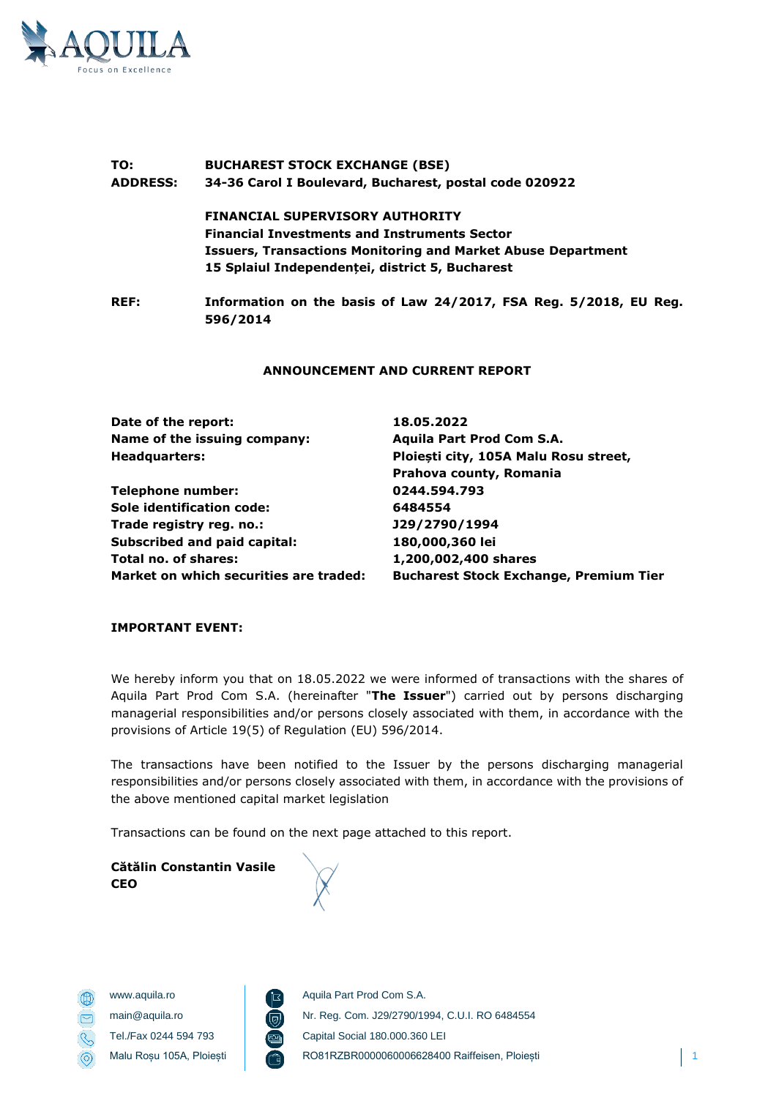

## **TO: BUCHAREST STOCK EXCHANGE (BSE) ADDRESS: 34-36 Carol I Boulevard, Bucharest, postal code 020922**

**FINANCIAL SUPERVISORY AUTHORITY Financial Investments and Instruments Sector Issuers, Transactions Monitoring and Market Abuse Department 15 Splaiul Independenței, district 5, Bucharest**

**REF: Information on the basis of Law 24/2017, FSA Reg. 5/2018, EU Reg. 596/2014**

## **ANNOUNCEMENT AND CURRENT REPORT**

| Date of the report:                                       | 18.05.2022                                    |  |
|-----------------------------------------------------------|-----------------------------------------------|--|
| Name of the issuing company:<br>Aquila Part Prod Com S.A. |                                               |  |
| <b>Headquarters:</b>                                      | Ploiești city, 105A Malu Rosu street,         |  |
|                                                           | Prahova county, Romania                       |  |
| Telephone number:                                         | 0244.594.793                                  |  |
| Sole identification code:                                 | 6484554                                       |  |
| Trade registry reg. no.:                                  | J29/2790/1994                                 |  |
| <b>Subscribed and paid capital:</b>                       | 180,000,360 lei                               |  |
| Total no. of shares:                                      | 1,200,002,400 shares                          |  |
| Market on which securities are traded:                    | <b>Bucharest Stock Exchange, Premium Tier</b> |  |

## **IMPORTANT EVENT:**

We hereby inform you that on 18.05.2022 we were informed of transactions with the shares of Aquila Part Prod Com S.A. (hereinafter "**The Issuer**") carried out by persons discharging managerial responsibilities and/or persons closely associated with them, in accordance with the provisions of Article 19(5) of Regulation (EU) 596/2014.

The transactions have been notified to the Issuer by the persons discharging managerial responsibilities and/or persons closely associated with them, in accordance with the provisions of the above mentioned capital market legislation

Transactions can be found on the next page attached to this report.

**Cătălin Constantin Vasile CEO**



www.aquila.ro **Aquila Part Prod Com S.A.** main@aquila.ro **national national nation** Nr. Reg. Com. J29/2790/1994, C.U.I. RO 6484554 Tel./Fax 0244 594 793 Capital Social 180.000.360 LEI Malu Roșu 105A, Ploiești RO81RZBR0000060006628400 Raiffeisen, Ploiești 1